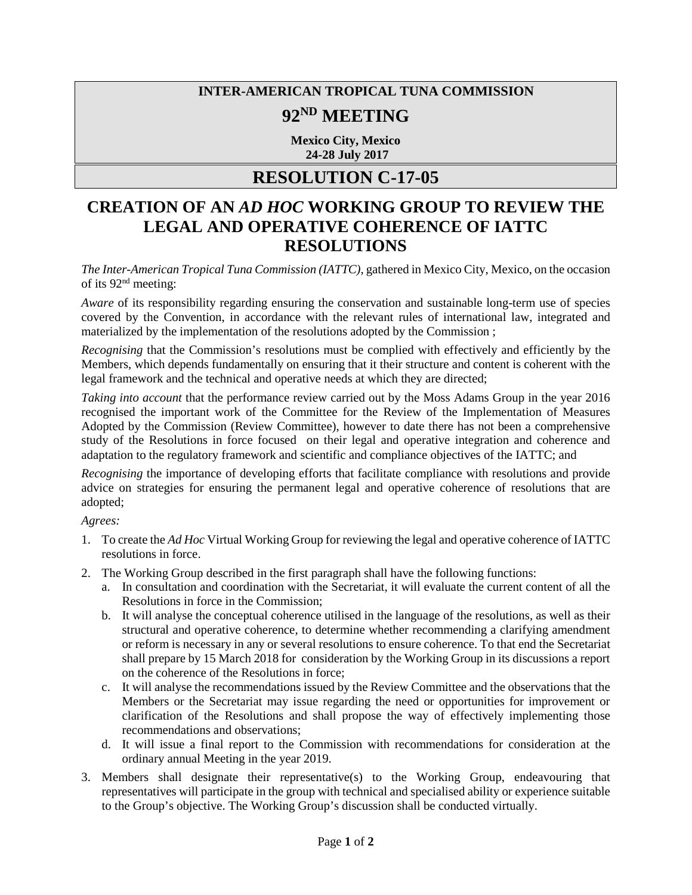## **INTER-AMERICAN TROPICAL TUNA COMMISSION**

## **92ND MEETING**

**Mexico City, Mexico 24-28 July 2017**

## **RESOLUTION C-17-05**

## **CREATION OF AN** *AD HOC* **WORKING GROUP TO REVIEW THE LEGAL AND OPERATIVE COHERENCE OF IATTC RESOLUTIONS**

*The Inter-American Tropical Tuna Commission (IATTC)*, gathered in Mexico City, Mexico, on the occasion of its 92nd meeting:

*Aware* of its responsibility regarding ensuring the conservation and sustainable long-term use of species covered by the Convention, in accordance with the relevant rules of international law, integrated and materialized by the implementation of the resolutions adopted by the Commission ;

*Recognising* that the Commission's resolutions must be complied with effectively and efficiently by the Members, which depends fundamentally on ensuring that it their structure and content is coherent with the legal framework and the technical and operative needs at which they are directed;

*Taking into account* that the performance review carried out by the Moss Adams Group in the year 2016 recognised the important work of the Committee for the Review of the Implementation of Measures Adopted by the Commission (Review Committee), however to date there has not been a comprehensive study of the Resolutions in force focused on their legal and operative integration and coherence and adaptation to the regulatory framework and scientific and compliance objectives of the IATTC; and

*Recognising* the importance of developing efforts that facilitate compliance with resolutions and provide advice on strategies for ensuring the permanent legal and operative coherence of resolutions that are adopted;

*Agrees:*

- 1. To create the *Ad Hoc* Virtual Working Group for reviewing the legal and operative coherence of IATTC resolutions in force.
- 2. The Working Group described in the first paragraph shall have the following functions:
	- a. In consultation and coordination with the Secretariat, it will evaluate the current content of all the Resolutions in force in the Commission;
	- b. It will analyse the conceptual coherence utilised in the language of the resolutions, as well as their structural and operative coherence, to determine whether recommending a clarifying amendment or reform is necessary in any or several resolutions to ensure coherence. To that end the Secretariat shall prepare by 15 March 2018 for consideration by the Working Group in its discussions a report on the coherence of the Resolutions in force;
	- c. It will analyse the recommendations issued by the Review Committee and the observations that the Members or the Secretariat may issue regarding the need or opportunities for improvement or clarification of the Resolutions and shall propose the way of effectively implementing those recommendations and observations;
	- d. It will issue a final report to the Commission with recommendations for consideration at the ordinary annual Meeting in the year 2019.
- 3. Members shall designate their representative(s) to the Working Group, endeavouring that representatives will participate in the group with technical and specialised ability or experience suitable to the Group's objective. The Working Group's discussion shall be conducted virtually.